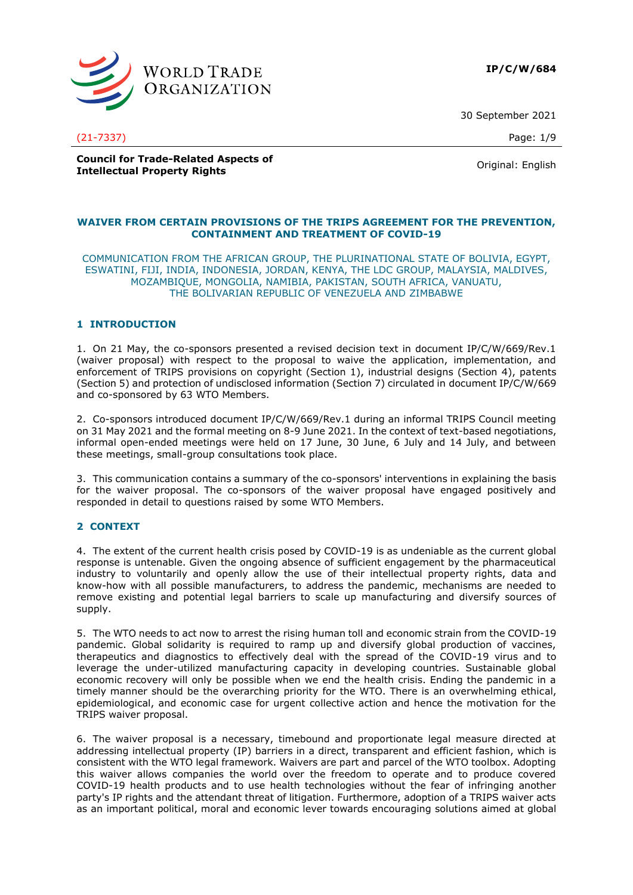

30 September 2021

(21-7337) Page: 1/9

**Council for Trade-Related Aspects of Intellectual Property Rights** Original: English<br> **Intellectual Property Rights** 

#### **WAIVER FROM CERTAIN PROVISIONS OF THE TRIPS AGREEMENT FOR THE PREVENTION, CONTAINMENT AND TREATMENT OF COVID-19**

COMMUNICATION FROM THE AFRICAN GROUP, THE PLURINATIONAL STATE OF BOLIVIA, EGYPT, ESWATINI, FIJI, INDIA, INDONESIA, JORDAN, KENYA, THE LDC GROUP, MALAYSIA, MALDIVES, MOZAMBIQUE, MONGOLIA, NAMIBIA, PAKISTAN, SOUTH AFRICA, VANUATU, THE BOLIVARIAN REPUBLIC OF VENEZUELA AND ZIMBABWE

### **1 INTRODUCTION**

1. On 21 May, the co-sponsors presented a revised decision text in document IP/C/W/669/Rev.1 (waiver proposal) with respect to the proposal to waive the application, implementation, and enforcement of TRIPS provisions on copyright (Section 1), industrial designs (Section 4), patents (Section 5) and protection of undisclosed information (Section 7) circulated in document IP/C/W/669 and co-sponsored by 63 WTO Members.

2. Co-sponsors introduced document IP/C/W/669/Rev.1 during an informal TRIPS Council meeting on 31 May 2021 and the formal meeting on 8-9 June 2021. In the context of text-based negotiations, informal open-ended meetings were held on 17 June, 30 June, 6 July and 14 July, and between these meetings, small-group consultations took place.

3. This communication contains a summary of the co-sponsors' interventions in explaining the basis for the waiver proposal. The co-sponsors of the waiver proposal have engaged positively and responded in detail to questions raised by some WTO Members.

### **2 CONTEXT**

4. The extent of the current health crisis posed by COVID-19 is as undeniable as the current global response is untenable. Given the ongoing absence of sufficient engagement by the pharmaceutical industry to voluntarily and openly allow the use of their intellectual property rights, data and know-how with all possible manufacturers, to address the pandemic, mechanisms are needed to remove existing and potential legal barriers to scale up manufacturing and diversify sources of supply.

5. The WTO needs to act now to arrest the rising human toll and economic strain from the COVID-19 pandemic. Global solidarity is required to ramp up and diversify global production of vaccines, therapeutics and diagnostics to effectively deal with the spread of the COVID-19 virus and to leverage the under-utilized manufacturing capacity in developing countries. Sustainable global economic recovery will only be possible when we end the health crisis. Ending the pandemic in a timely manner should be the overarching priority for the WTO. There is an overwhelming ethical, epidemiological, and economic case for urgent collective action and hence the motivation for the TRIPS waiver proposal.

6. The waiver proposal is a necessary, timebound and proportionate legal measure directed at addressing intellectual property (IP) barriers in a direct, transparent and efficient fashion, which is consistent with the WTO legal framework. Waivers are part and parcel of the WTO toolbox. Adopting this waiver allows companies the world over the freedom to operate and to produce covered COVID-19 health products and to use health technologies without the fear of infringing another party's IP rights and the attendant threat of litigation. Furthermore, adoption of a TRIPS waiver acts as an important political, moral and economic lever towards encouraging solutions aimed at global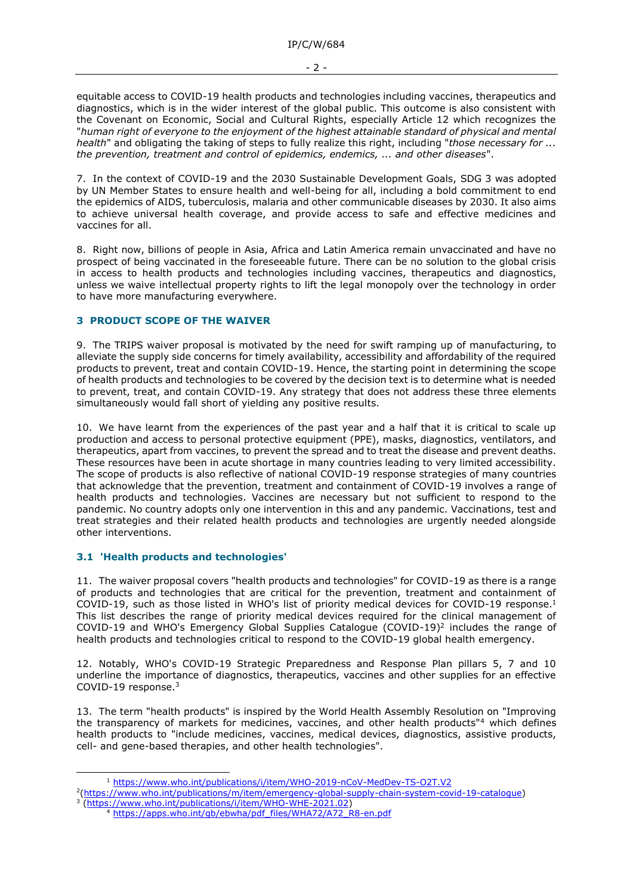equitable access to COVID-19 health products and technologies including vaccines, therapeutics and diagnostics, which is in the wider interest of the global public. This outcome is also consistent with the Covenant on Economic, Social and Cultural Rights, especially Article 12 which recognizes the "*human right of everyone to the enjoyment of the highest attainable standard of physical and mental health*" and obligating the taking of steps to fully realize this right, including "*those necessary for ... the prevention, treatment and control of epidemics, endemics, ... and other diseases*".

7. In the context of COVID-19 and the 2030 Sustainable Development Goals, SDG 3 was adopted by UN Member States to ensure health and well-being for all, including a bold commitment to end the epidemics of AIDS, tuberculosis, malaria and other communicable diseases by 2030. It also aims to achieve universal health coverage, and provide access to safe and effective medicines and vaccines for all.

8. Right now, billions of people in Asia, Africa and Latin America remain unvaccinated and have no prospect of being vaccinated in the foreseeable future. There can be no solution to the global crisis in access to health products and technologies including vaccines, therapeutics and diagnostics, unless we waive intellectual property rights to lift the legal monopoly over the technology in order to have more manufacturing everywhere.

# **3 PRODUCT SCOPE OF THE WAIVER**

9. The TRIPS waiver proposal is motivated by the need for swift ramping up of manufacturing, to alleviate the supply side concerns for timely availability, accessibility and affordability of the required products to prevent, treat and contain COVID-19. Hence, the starting point in determining the scope of health products and technologies to be covered by the decision text is to determine what is needed to prevent, treat, and contain COVID-19. Any strategy that does not address these three elements simultaneously would fall short of yielding any positive results.

10. We have learnt from the experiences of the past year and a half that it is critical to scale up production and access to personal protective equipment (PPE), masks, diagnostics, ventilators, and therapeutics, apart from vaccines, to prevent the spread and to treat the disease and prevent deaths. These resources have been in acute shortage in many countries leading to very limited accessibility. The scope of products is also reflective of national COVID-19 response strategies of many countries that acknowledge that the prevention, treatment and containment of COVID-19 involves a range of health products and technologies. Vaccines are necessary but not sufficient to respond to the pandemic. No country adopts only one intervention in this and any pandemic. Vaccinations, test and treat strategies and their related health products and technologies are urgently needed alongside other interventions.

# **3.1 'Health products and technologies'**

11. The waiver proposal covers "health products and technologies" for COVID-19 as there is a range of products and technologies that are critical for the prevention, treatment and containment of COVID-19, such as those listed in WHO's list of priority medical devices for COVID-19 response.<sup>1</sup> This list describes the range of priority medical devices required for the clinical management of COVID-19 and WHO's Emergency Global Supplies Catalogue  $(COVID-19)^2$  includes the range of health products and technologies critical to respond to the COVID-19 global health emergency.

12. Notably, WHO's COVID-19 Strategic Preparedness and Response Plan pillars 5, 7 and 10 underline the importance of diagnostics, therapeutics, vaccines and other supplies for an effective COVID-19 response.<sup>3</sup>

13. The term "health products" is inspired by the World Health Assembly Resolution on "Improving the transparency of markets for medicines, vaccines, and other health products"<sup>4</sup> which defines health products to "include medicines, vaccines, medical devices, diagnostics, assistive products, cell- and gene-based therapies, and other health technologies".

<sup>1</sup> <https://www.who.int/publications/i/item/WHO-2019-nCoV-MedDev-TS-O2T.V2>

<sup>2</sup> [\(https://www.who.int/publications/m/item/emergency-global-supply-chain-system-covid-19-catalogue\)](https://www.who.int/publications/m/item/emergency-global-supply-chain-system-covid-19-catalogue) 3 [\(https://www.who.int/publications/i/item/WHO-WHE-2021.02\)](https://www.who.int/publications/i/item/WHO-WHE-2021.02)

<sup>4</sup> [https://apps.who.int/gb/ebwha/pdf\\_files/WHA72/A72\\_R8-en.pdf](https://apps.who.int/gb/ebwha/pdf_files/WHA72/A72_R8-en.pdf)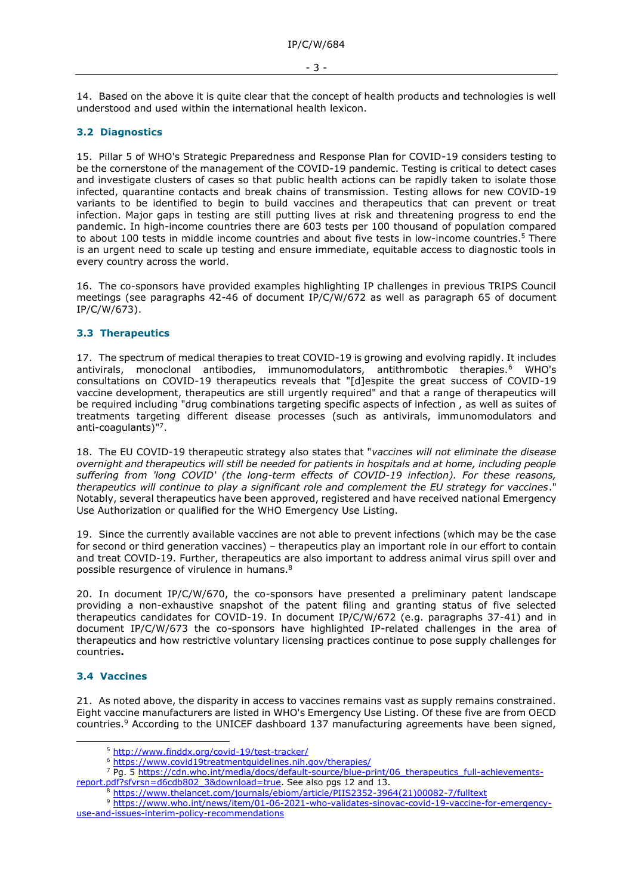14. Based on the above it is quite clear that the concept of health products and technologies is well understood and used within the international health lexicon.

## **3.2 Diagnostics**

15. Pillar 5 of WHO's Strategic Preparedness and Response Plan for COVID-19 considers testing to be the cornerstone of the management of the COVID-19 pandemic. Testing is critical to detect cases and investigate clusters of cases so that public health actions can be rapidly taken to isolate those infected, quarantine contacts and break chains of transmission. Testing allows for new COVID-19 variants to be identified to begin to build vaccines and therapeutics that can prevent or treat infection. Major gaps in testing are still putting lives at risk and threatening progress to end the pandemic. In high-income countries there are 603 tests per 100 thousand of population compared to about 100 tests in middle income countries and about five tests in low-income countries.<sup>5</sup> There is an urgent need to scale up testing and ensure immediate, equitable access to diagnostic tools in every country across the world.

16. The co-sponsors have provided examples highlighting IP challenges in previous TRIPS Council meetings (see paragraphs 42-46 of document IP/C/W/672 as well as paragraph 65 of document  $IP/C/W/673$ ).

## **3.3 Therapeutics**

17. The spectrum of medical therapies to treat COVID-19 is growing and evolving rapidly. It includes antivirals, monoclonal antibodies, immunomodulators, antithrombotic therapies.<sup>6</sup> WHO's consultations on COVID-19 therapeutics reveals that "[d]espite the great success of COVID-19 vaccine development, therapeutics are still urgently required" and that a range of therapeutics will be required including "drug combinations targeting specific aspects of infection , as well as suites of treatments targeting different disease processes (such as antivirals, immunomodulators and anti-coagulants)"<sup>7</sup> .

18. The EU COVID-19 therapeutic strategy also states that "*vaccines will not eliminate the disease overnight and therapeutics will still be needed for patients in hospitals and at home, including people suffering from 'long COVID' (the long-term effects of COVID-19 infection). For these reasons, therapeutics will continue to play a significant role and complement the EU strategy for vaccines*." Notably, several therapeutics have been approved, registered and have received national Emergency Use Authorization or qualified for the WHO Emergency Use Listing.

19. Since the currently available vaccines are not able to prevent infections (which may be the case for second or third generation vaccines) – therapeutics play an important role in our effort to contain and treat COVID-19. Further, therapeutics are also important to address animal virus spill over and possible resurgence of virulence in humans.<sup>8</sup>

20. In document IP/C/W/670, the co-sponsors have presented a preliminary patent landscape providing a non-exhaustive snapshot of the patent filing and granting status of five selected therapeutics candidates for COVID-19. In document IP/C/W/672 (e.g. paragraphs 37-41) and in document IP/C/W/673 the co-sponsors have highlighted IP-related challenges in the area of therapeutics and how restrictive voluntary licensing practices continue to pose supply challenges for countries**.** 

### **3.4 Vaccines**

21. As noted above, the disparity in access to vaccines remains vast as supply remains constrained. Eight vaccine manufacturers are listed in WHO's Emergency Use Listing. Of these five are from OECD countries.<sup>9</sup> According to the UNICEF dashboard 137 manufacturing agreements have been signed,

<sup>5</sup> <http://www.finddx.org/covid-19/test-tracker/>

<sup>6</sup> <https://www.covid19treatmentguidelines.nih.gov/therapies/>

<sup>&</sup>lt;sup>7</sup> Pg. 5 https://cdn.who.int/media/docs/default-source/blue-print/06 therapeutics full-achievements[report.pdf?sfvrsn=d6cdb802\\_3&download=true.](https://cdn.who.int/media/docs/default-source/blue-print/06_therapeutics_full-achievements-report.pdf?sfvrsn=d6cdb802_3&download=true) See also pgs 12 and 13.

<sup>8</sup> [https://www.thelancet.com/journals/ebiom/article/PIIS2352-3964\(21\)00082-7/fulltext](https://www.thelancet.com/journals/ebiom/article/PIIS2352-3964(21)00082-7/fulltext)

<sup>9</sup> [https://www.who.int/news/item/01-06-2021-who-validates-sinovac-covid-19-vaccine-for-emergency](https://www.who.int/news/item/01-06-2021-who-validates-sinovac-covid-19-vaccine-for-emergency-use-and-issues-interim-policy-recommendations)[use-and-issues-interim-policy-recommendations](https://www.who.int/news/item/01-06-2021-who-validates-sinovac-covid-19-vaccine-for-emergency-use-and-issues-interim-policy-recommendations)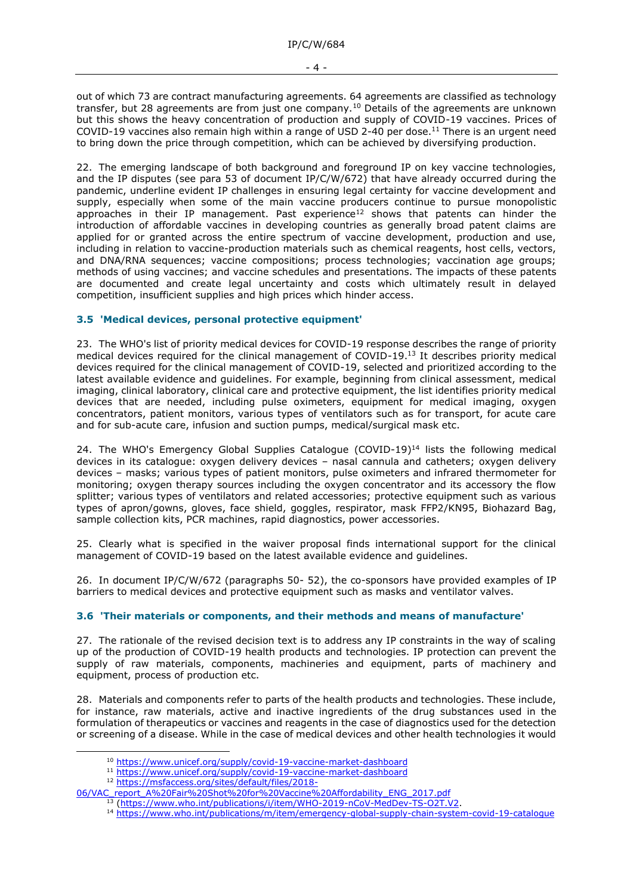out of which 73 are contract manufacturing agreements. 64 agreements are classified as technology transfer, but 28 agreements are from just one company.<sup>10</sup> Details of the agreements are unknown but this shows the heavy concentration of production and supply of COVID-19 vaccines. Prices of COVID-19 vaccines also remain high within a range of USD 2-40 per dose.<sup>11</sup> There is an urgent need to bring down the price through competition, which can be achieved by diversifying production.

22. The emerging landscape of both background and foreground IP on key vaccine technologies, and the IP disputes (see para 53 of document IP/C/W/672) that have already occurred during the pandemic, underline evident IP challenges in ensuring legal certainty for vaccine development and supply, especially when some of the main vaccine producers continue to pursue monopolistic approaches in their IP management. Past experience<sup>12</sup> shows that patents can hinder the introduction of affordable vaccines in developing countries as generally broad patent claims are applied for or granted across the entire spectrum of vaccine development, production and use, including in relation to vaccine-production materials such as chemical reagents, host cells, vectors, and DNA/RNA sequences; vaccine compositions; process technologies; vaccination age groups; methods of using vaccines; and vaccine schedules and presentations. The impacts of these patents are documented and create legal uncertainty and costs which ultimately result in delayed competition, insufficient supplies and high prices which hinder access.

## **3.5 'Medical devices, personal protective equipment'**

23. The WHO's list of priority medical devices for COVID-19 response describes the range of priority medical devices required for the clinical management of COVID-19.<sup>13</sup> It describes priority medical devices required for the clinical management of COVID-19, selected and prioritized according to the latest available evidence and guidelines. For example, beginning from clinical assessment, medical imaging, clinical laboratory, clinical care and protective equipment, the list identifies priority medical devices that are needed, including pulse oximeters, equipment for medical imaging, oxygen concentrators, patient monitors, various types of ventilators such as for transport, for acute care and for sub-acute care, infusion and suction pumps, medical/surgical mask etc.

24. The WHO's Emergency Global Supplies Catalogue  $(COVID-19)^{14}$  lists the following medical devices in its catalogue: oxygen delivery devices – nasal cannula and catheters; oxygen delivery devices – masks; various types of patient monitors, pulse oximeters and infrared thermometer for monitoring; oxygen therapy sources including the oxygen concentrator and its accessory the flow splitter; various types of ventilators and related accessories; protective equipment such as various types of apron/gowns, gloves, face shield, goggles, respirator, mask FFP2/KN95, Biohazard Bag, sample collection kits, PCR machines, rapid diagnostics, power accessories.

25. Clearly what is specified in the waiver proposal finds international support for the clinical management of COVID-19 based on the latest available evidence and guidelines.

26. In document IP/C/W/672 (paragraphs 50- 52), the co-sponsors have provided examples of IP barriers to medical devices and protective equipment such as masks and ventilator valves.

# **3.6 'Their materials or components, and their methods and means of manufacture'**

27. The rationale of the revised decision text is to address any IP constraints in the way of scaling up of the production of COVID-19 health products and technologies. IP protection can prevent the supply of raw materials, components, machineries and equipment, parts of machinery and equipment, process of production etc.

28. Materials and components refer to parts of the health products and technologies. These include, for instance, raw materials, active and inactive ingredients of the drug substances used in the formulation of therapeutics or vaccines and reagents in the case of diagnostics used for the detection or screening of a disease. While in the case of medical devices and other health technologies it would

<sup>10</sup> <https://www.unicef.org/supply/covid-19-vaccine-market-dashboard>

<sup>11</sup> <https://www.unicef.org/supply/covid-19-vaccine-market-dashboard>

<sup>12</sup> [https://msfaccess.org/sites/default/files/2018-](https://msfaccess.org/sites/default/files/2018-06/VAC_report_A%20Fair%20Shot%20for%20Vaccine%20Affordability_ENG_2017.pdf)

[<sup>06/</sup>VAC\\_report\\_A%20Fair%20Shot%20for%20Vaccine%20Affordability\\_ENG\\_2017.pdf](https://msfaccess.org/sites/default/files/2018-06/VAC_report_A%20Fair%20Shot%20for%20Vaccine%20Affordability_ENG_2017.pdf)

<sup>13</sup> [\(https://www.who.int/publications/i/item/WHO-2019-nCoV-MedDev-TS-O2T.V2.](https://www.who.int/publications/i/item/WHO-2019-nCoV-MedDev-TS-O2T.V2)

<sup>14</sup> <https://www.who.int/publications/m/item/emergency-global-supply-chain-system-covid-19-catalogue>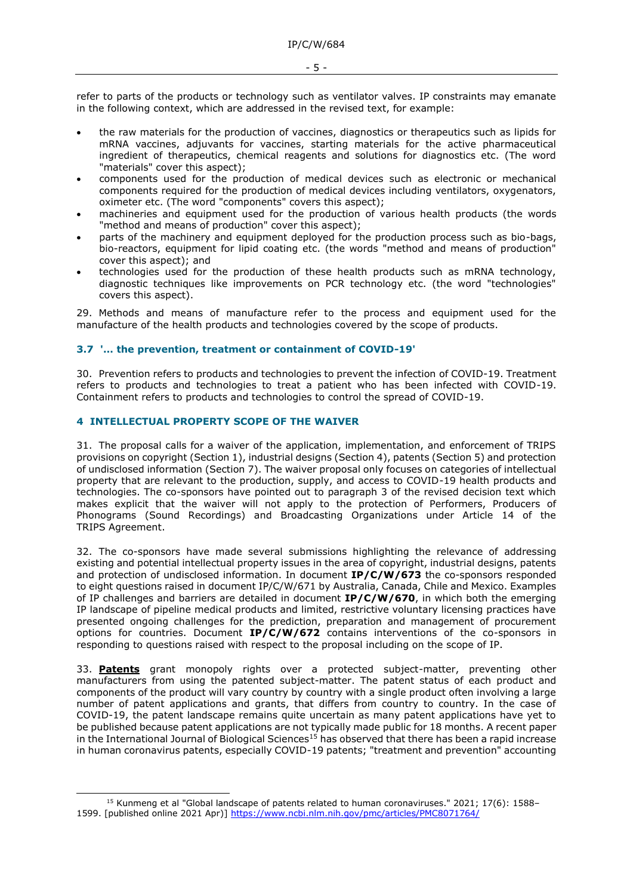refer to parts of the products or technology such as ventilator valves. IP constraints may emanate in the following context, which are addressed in the revised text, for example:

- the raw materials for the production of vaccines, diagnostics or therapeutics such as lipids for mRNA vaccines, adjuvants for vaccines, starting materials for the active pharmaceutical ingredient of therapeutics, chemical reagents and solutions for diagnostics etc. (The word "materials" cover this aspect);
- components used for the production of medical devices such as electronic or mechanical components required for the production of medical devices including ventilators, oxygenators, oximeter etc. (The word "components" covers this aspect);
- machineries and equipment used for the production of various health products (the words "method and means of production" cover this aspect);
- parts of the machinery and equipment deployed for the production process such as bio-bags, bio-reactors, equipment for lipid coating etc. (the words "method and means of production" cover this aspect); and
- technologies used for the production of these health products such as mRNA technology, diagnostic techniques like improvements on PCR technology etc. (the word "technologies" covers this aspect).

29. Methods and means of manufacture refer to the process and equipment used for the manufacture of the health products and technologies covered by the scope of products.

## **3.7 '… the prevention, treatment or containment of COVID-19'**

30. Prevention refers to products and technologies to prevent the infection of COVID-19. Treatment refers to products and technologies to treat a patient who has been infected with COVID-19. Containment refers to products and technologies to control the spread of COVID-19.

## **4 INTELLECTUAL PROPERTY SCOPE OF THE WAIVER**

31. The proposal calls for a waiver of the application, implementation, and enforcement of TRIPS provisions on copyright (Section 1), industrial designs (Section 4), patents (Section 5) and protection of undisclosed information (Section 7). The waiver proposal only focuses on categories of intellectual property that are relevant to the production, supply, and access to COVID-19 health products and technologies. The co-sponsors have pointed out to paragraph 3 of the revised decision text which makes explicit that the waiver will not apply to the protection of Performers, Producers of Phonograms (Sound Recordings) and Broadcasting Organizations under Article 14 of the TRIPS Agreement.

32. The co-sponsors have made several submissions highlighting the relevance of addressing existing and potential intellectual property issues in the area of copyright, industrial designs, patents and protection of undisclosed information. In document **IP/C/W/673** the co-sponsors responded to eight questions raised in document IP/C/W/671 by Australia, Canada, Chile and Mexico. Examples of IP challenges and barriers are detailed in document **IP/C/W/670**, in which both the emerging IP landscape of pipeline medical products and limited, restrictive voluntary licensing practices have presented ongoing challenges for the prediction, preparation and management of procurement options for countries. Document **IP/C/W/672** contains interventions of the co-sponsors in responding to questions raised with respect to the proposal including on the scope of IP.

33. **Patents** grant monopoly rights over a protected subject-matter, preventing other manufacturers from using the patented subject-matter. The patent status of each product and components of the product will vary country by country with a single product often involving a large number of patent applications and grants, that differs from country to country. In the case of COVID-19, the patent landscape remains quite uncertain as many patent applications have yet to be published because patent applications are not typically made public for 18 months. A recent paper in the International Journal of Biological Sciences<sup>15</sup> has observed that there has been a rapid increase in human coronavirus patents, especially COVID-19 patents; "treatment and prevention" accounting

<sup>15</sup> Kunmeng et al "Global landscape of patents related to human coronaviruses." 2021; 17(6): 1588– 1599. [published online 2021 Apr)]<https://www.ncbi.nlm.nih.gov/pmc/articles/PMC8071764/>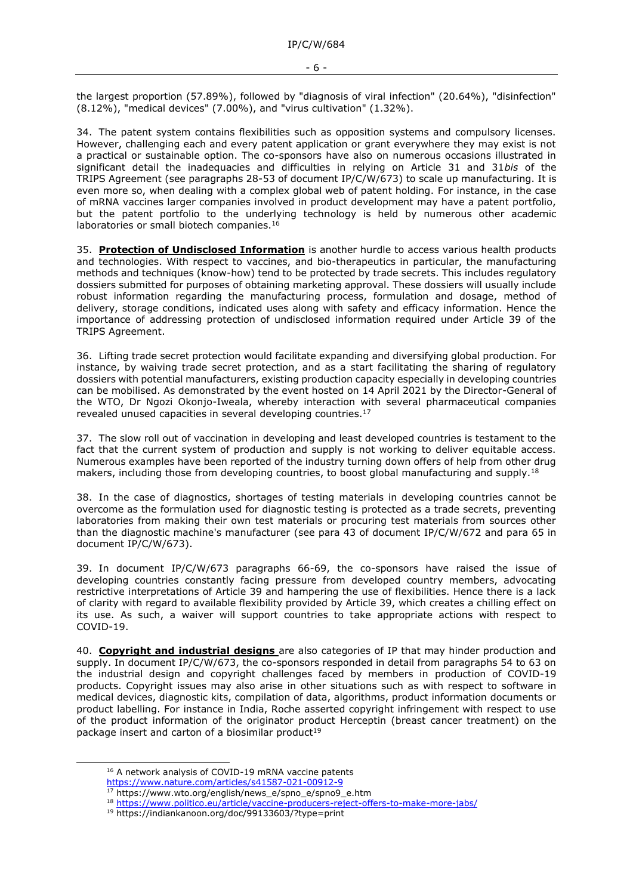the largest proportion (57.89%), followed by "diagnosis of viral infection" (20.64%), "disinfection" (8.12%), "medical devices" (7.00%), and "virus cultivation" (1.32%).

34. The patent system contains flexibilities such as opposition systems and compulsory licenses. However, challenging each and every patent application or grant everywhere they may exist is not a practical or sustainable option. The co-sponsors have also on numerous occasions illustrated in significant detail the inadequacies and difficulties in relying on Article 31 and 31*bis* of the TRIPS Agreement (see paragraphs 28-53 of document IP/C/W/673) to scale up manufacturing. It is even more so, when dealing with a complex global web of patent holding. For instance, in the case of mRNA vaccines larger companies involved in product development may have a patent portfolio, but the patent portfolio to the underlying technology is held by numerous other academic laboratories or small biotech companies.<sup>16</sup>

35. **Protection of Undisclosed Information** is another hurdle to access various health products and technologies. With respect to vaccines, and bio-therapeutics in particular, the manufacturing methods and techniques (know-how) tend to be protected by trade secrets. This includes regulatory dossiers submitted for purposes of obtaining marketing approval. These dossiers will usually include robust information regarding the manufacturing process, formulation and dosage, method of delivery, storage conditions, indicated uses along with safety and efficacy information. Hence the importance of addressing protection of undisclosed information required under Article 39 of the TRIPS Agreement.

36. Lifting trade secret protection would facilitate expanding and diversifying global production. For instance, by waiving trade secret protection, and as a start facilitating the sharing of regulatory dossiers with potential manufacturers, existing production capacity especially in developing countries can be mobilised. As demonstrated by the event hosted on 14 April 2021 by the Director-General of the WTO, Dr Ngozi Okonjo-Iweala, whereby interaction with several pharmaceutical companies revealed unused capacities in several developing countries.<sup>17</sup>

37. The slow roll out of vaccination in developing and least developed countries is testament to the fact that the current system of production and supply is not working to deliver equitable access. Numerous examples have been reported of the industry turning down offers of help from other drug makers, including those from developing countries, to boost global manufacturing and supply.<sup>18</sup>

38. In the case of diagnostics, shortages of testing materials in developing countries cannot be overcome as the formulation used for diagnostic testing is protected as a trade secrets, preventing laboratories from making their own test materials or procuring test materials from sources other than the diagnostic machine's manufacturer (see para 43 of document IP/C/W/672 and para 65 in document IP/C/W/673).

39. In document IP/C/W/673 paragraphs 66-69, the co-sponsors have raised the issue of developing countries constantly facing pressure from developed country members, advocating restrictive interpretations of Article 39 and hampering the use of flexibilities. Hence there is a lack of clarity with regard to available flexibility provided by Article 39, which creates a chilling effect on its use. As such, a waiver will support countries to take appropriate actions with respect to COVID-19.

40. **Copyright and industrial designs** are also categories of IP that may hinder production and supply. In document IP/C/W/673, the co-sponsors responded in detail from paragraphs 54 to 63 on the industrial design and copyright challenges faced by members in production of COVID-19 products. Copyright issues may also arise in other situations such as with respect to software in medical devices, diagnostic kits, compilation of data, algorithms, product information documents or product labelling. For instance in India, Roche asserted copyright infringement with respect to use of the product information of the originator product Herceptin (breast cancer treatment) on the package insert and carton of a biosimilar product<sup>19</sup>

<sup>&</sup>lt;sup>16</sup> A network analysis of COVID-19 mRNA vaccine patents

<https://www.nature.com/articles/s41587-021-00912-9>

<sup>17</sup> https://www.wto.org/english/news\_e/spno\_e/spno9\_e.htm

<sup>18</sup> <https://www.politico.eu/article/vaccine-producers-reject-offers-to-make-more-jabs/>

<sup>19</sup> https://indiankanoon.org/doc/99133603/?type=print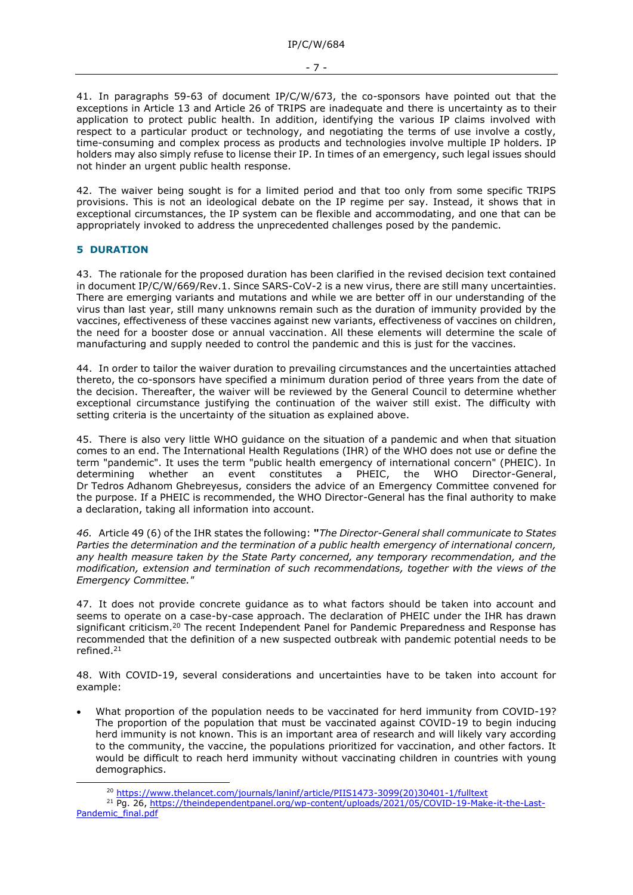41. In paragraphs 59-63 of document IP/C/W/673, the co-sponsors have pointed out that the exceptions in Article 13 and Article 26 of TRIPS are inadequate and there is uncertainty as to their application to protect public health. In addition, identifying the various IP claims involved with respect to a particular product or technology, and negotiating the terms of use involve a costly, time-consuming and complex process as products and technologies involve multiple IP holders. IP holders may also simply refuse to license their IP. In times of an emergency, such legal issues should not hinder an urgent public health response.

42. The waiver being sought is for a limited period and that too only from some specific TRIPS provisions. This is not an ideological debate on the IP regime per say. Instead, it shows that in exceptional circumstances, the IP system can be flexible and accommodating, and one that can be appropriately invoked to address the unprecedented challenges posed by the pandemic.

#### **5 DURATION**

43. The rationale for the proposed duration has been clarified in the revised decision text contained in document IP/C/W/669/Rev.1. Since SARS-CoV-2 is a new virus, there are still many uncertainties. There are emerging variants and mutations and while we are better off in our understanding of the virus than last year, still many unknowns remain such as the duration of immunity provided by the vaccines, effectiveness of these vaccines against new variants, effectiveness of vaccines on children, the need for a booster dose or annual vaccination. All these elements will determine the scale of manufacturing and supply needed to control the pandemic and this is just for the vaccines.

44. In order to tailor the waiver duration to prevailing circumstances and the uncertainties attached thereto, the co-sponsors have specified a minimum duration period of three years from the date of the decision. Thereafter, the waiver will be reviewed by the General Council to determine whether exceptional circumstance justifying the continuation of the waiver still exist. The difficulty with setting criteria is the uncertainty of the situation as explained above.

45. There is also very little WHO guidance on the situation of a pandemic and when that situation comes to an end. The International Health Regulations (IHR) of the WHO does not use or define the term "pandemic". It uses the term "public health emergency of international concern" (PHEIC). In determining whether an event constitutes a PHEIC, the WHO Director-General, Dr Tedros Adhanom Ghebreyesus, considers the advice of an Emergency Committee convened for the purpose. If a PHEIC is recommended, the WHO Director-General has the final authority to make a declaration, taking all information into account.

*46.* Article 49 (6) of the IHR states the following: **"***The Director-General shall communicate to States Parties the determination and the termination of a public health emergency of international concern, any health measure taken by the State Party concerned, any temporary recommendation, and the modification, extension and termination of such recommendations, together with the views of the Emergency Committee."* 

47. It does not provide concrete guidance as to what factors should be taken into account and seems to operate on a case-by-case approach. The declaration of PHEIC under the IHR has drawn significant criticism.<sup>20</sup> The recent Independent Panel for Pandemic Preparedness and Response has recommended that the definition of a new suspected outbreak with pandemic potential needs to be refined.<sup>21</sup>

48. With COVID-19, several considerations and uncertainties have to be taken into account for example:

• What proportion of the population needs to be vaccinated for herd immunity from COVID-19? The proportion of the population that must be vaccinated against COVID-19 to begin inducing herd immunity is not known. This is an important area of research and will likely vary according to the community, the vaccine, the populations prioritized for vaccination, and other factors. It would be difficult to reach herd immunity without vaccinating children in countries with young demographics.

<sup>20</sup> [https://www.thelancet.com/journals/laninf/article/PIIS1473-3099\(20\)30401-1/fulltext](https://www.thelancet.com/journals/laninf/article/PIIS1473-3099(20)30401-1/fulltext)

<sup>21</sup> Pg. 26, [https://theindependentpanel.org/wp-content/uploads/2021/05/COVID-19-Make-it-the-Last-](https://theindependentpanel.org/wp-content/uploads/2021/05/COVID-19-Make-it-the-Last-Pandemic_final.pdf)[Pandemic\\_final.pdf](https://theindependentpanel.org/wp-content/uploads/2021/05/COVID-19-Make-it-the-Last-Pandemic_final.pdf)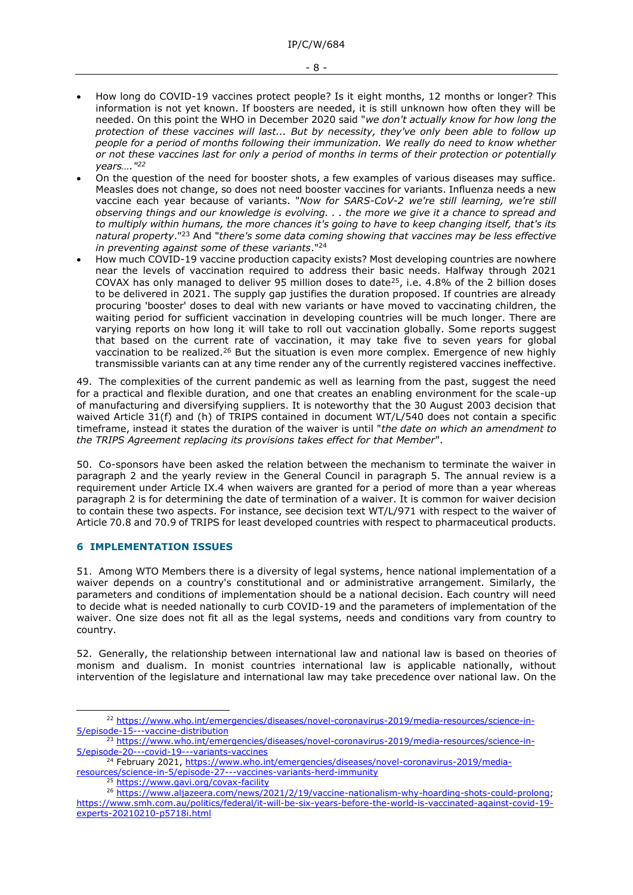- How long do COVID-19 vaccines protect people? Is it eight months, 12 months or longer? This information is not yet known. If boosters are needed, it is still unknown how often they will be needed. On this point the WHO in December 2020 said "*we don't actually know for how long the protection of these vaccines will last... But by necessity, they've only been able to follow up people for a period of months following their immunization. We really do need to know whether or not these vaccines last for only a period of months in terms of their protection or potentially years…."<sup>22</sup>*
- On the question of the need for booster shots, a few examples of various diseases may suffice. Measles does not change, so does not need booster vaccines for variants. Influenza needs a new vaccine each year because of variants. "*Now for SARS-CoV-2 we're still learning, we're still observing things and our knowledge is evolving. . . the more we give it a chance to spread and to multiply within humans, the more chances it's going to have to keep changing itself, that's its natural property*."<sup>23</sup> And "*there's some data coming showing that vaccines may be less effective in preventing against some of these variants*."<sup>24</sup>
- How much COVID-19 vaccine production capacity exists? Most developing countries are nowhere near the levels of vaccination required to address their basic needs. Halfway through 2021 COVAX has only managed to deliver 95 million doses to date<sup>25</sup>, i.e. 4.8% of the 2 billion doses to be delivered in 2021. The supply gap justifies the duration proposed. If countries are already procuring 'booster' doses to deal with new variants or have moved to vaccinating children, the waiting period for sufficient vaccination in developing countries will be much longer. There are varying reports on how long it will take to roll out vaccination globally. Some reports suggest that based on the current rate of vaccination, it may take five to seven years for global vaccination to be realized.<sup>26</sup> But the situation is even more complex. Emergence of new highly transmissible variants can at any time render any of the currently registered vaccines ineffective.

49. The complexities of the current pandemic as well as learning from the past, suggest the need for a practical and flexible duration, and one that creates an enabling environment for the scale-up of manufacturing and diversifying suppliers. It is noteworthy that the 30 August 2003 decision that waived Article 31(f) and (h) of TRIPS contained in document WT/L/540 does not contain a specific timeframe, instead it states the duration of the waiver is until "*the date on which an amendment to the TRIPS Agreement replacing its provisions takes effect for that Member*".

50. Co-sponsors have been asked the relation between the mechanism to terminate the waiver in paragraph 2 and the yearly review in the General Council in paragraph 5. The annual review is a requirement under Article IX.4 when waivers are granted for a period of more than a year whereas paragraph 2 is for determining the date of termination of a waiver. It is common for waiver decision to contain these two aspects. For instance, see decision text WT/L/971 with respect to the waiver of Article 70.8 and 70.9 of TRIPS for least developed countries with respect to pharmaceutical products.

### **6 IMPLEMENTATION ISSUES**

51. Among WTO Members there is a diversity of legal systems, hence national implementation of a waiver depends on a country's constitutional and or administrative arrangement. Similarly, the parameters and conditions of implementation should be a national decision. Each country will need to decide what is needed nationally to curb COVID-19 and the parameters of implementation of the waiver. One size does not fit all as the legal systems, needs and conditions vary from country to country.

52. Generally, the relationship between international law and national law is based on theories of monism and dualism. In monist countries international law is applicable nationally, without intervention of the legislature and international law may take precedence over national law. On the

<sup>22</sup> [https://www.who.int/emergencies/diseases/novel-coronavirus-2019/media-resources/science-in-](https://www.who.int/emergencies/diseases/novel-coronavirus-2019/media-resources/science-in-5/episode-15---vaccine-distribution)[5/episode-15---vaccine-distribution](https://www.who.int/emergencies/diseases/novel-coronavirus-2019/media-resources/science-in-5/episode-15---vaccine-distribution)

<sup>&</sup>lt;sup>23</sup> [https://www.who.int/emergencies/diseases/novel-coronavirus-2019/media-resources/science-in-](https://www.who.int/emergencies/diseases/novel-coronavirus-2019/media-resources/science-in-5/episode-20---covid-19---variants-vaccines)[5/episode-20---covid-19---variants-vaccines](https://www.who.int/emergencies/diseases/novel-coronavirus-2019/media-resources/science-in-5/episode-20---covid-19---variants-vaccines)

<sup>&</sup>lt;sup>24</sup> February 2021, [https://www.who.int/emergencies/diseases/novel-coronavirus-2019/media](https://www.who.int/emergencies/diseases/novel-coronavirus-2019/media-resources/science-in-5/episode-27---vaccines-variants-herd-immunity)[resources/science-in-5/episode-27---vaccines-variants-herd-immunity](https://www.who.int/emergencies/diseases/novel-coronavirus-2019/media-resources/science-in-5/episode-27---vaccines-variants-herd-immunity)

<https://www.gavi.org/covax-facility>

<sup>26</sup> [https://www.aljazeera.com/news/2021/2/19/vaccine-nationalism-why-hoarding-shots-could-prolong;](https://www.aljazeera.com/news/2021/2/19/vaccine-nationalism-why-hoarding-shots-could-prolong) [https://www.smh.com.au/politics/federal/it-will-be-six-years-before-the-world-is-vaccinated-against-covid-19](https://www.smh.com.au/politics/federal/it-will-be-six-years-before-the-world-is-vaccinated-against-covid-19-experts-20210210-p5718i.html) [experts-20210210-p5718i.html](https://www.smh.com.au/politics/federal/it-will-be-six-years-before-the-world-is-vaccinated-against-covid-19-experts-20210210-p5718i.html)